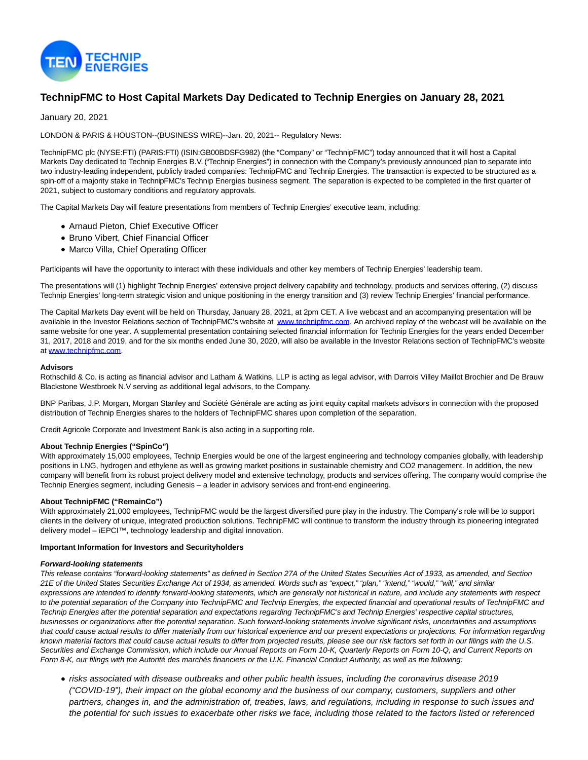

# **TechnipFMC to Host Capital Markets Day Dedicated to Technip Energies on January 28, 2021**

January 20, 2021

LONDON & PARIS & HOUSTON--(BUSINESS WIRE)--Jan. 20, 2021-- Regulatory News:

TechnipFMC plc (NYSE:FTI) (PARIS:FTI) (ISIN:GB00BDSFG982) (the "Company" or "TechnipFMC") today announced that it will host a Capital Markets Day dedicated to Technip Energies B.V. ("Technip Energies") in connection with the Company's previously announced plan to separate into two industry-leading independent, publicly traded companies: TechnipFMC and Technip Energies. The transaction is expected to be structured as a spin-off of a majority stake in TechnipFMC's Technip Energies business segment. The separation is expected to be completed in the first quarter of 2021, subject to customary conditions and regulatory approvals.

The Capital Markets Day will feature presentations from members of Technip Energies' executive team, including:

- Arnaud Pieton, Chief Executive Officer
- Bruno Vibert, Chief Financial Officer
- Marco Villa, Chief Operating Officer

Participants will have the opportunity to interact with these individuals and other key members of Technip Energies' leadership team.

The presentations will (1) highlight Technip Energies' extensive project delivery capability and technology, products and services offering, (2) discuss Technip Energies' long-term strategic vision and unique positioning in the energy transition and (3) review Technip Energies' financial performance.

The Capital Markets Day event will be held on Thursday, January 28, 2021, at 2pm CET. A live webcast and an accompanying presentation will be available in the Investor Relations section of TechnipFMC's website at [www.technipfmc.com.](https://cts.businesswire.com/ct/CT?id=smartlink&url=http%3A%2F%2Fwww.technipfmc.com&esheet=52364976&newsitemid=20210120005722&lan=en-US&anchor=www.technipfmc.com&index=1&md5=86da850f231f5429d429203a436e9caa) An archived replay of the webcast will be available on the same website for one year. A supplemental presentation containing selected financial information for Technip Energies for the years ended December 31, 2017, 2018 and 2019, and for the six months ended June 30, 2020, will also be available in the Investor Relations section of TechnipFMC's website at [www.technipfmc.com.](https://cts.businesswire.com/ct/CT?id=smartlink&url=http%3A%2F%2Fwww.technipfmc.com&esheet=52364976&newsitemid=20210120005722&lan=en-US&anchor=www.technipfmc.com&index=2&md5=ff871b78df2093234810d8ad338f046d)

### **Advisors**

Rothschild & Co. is acting as financial advisor and Latham & Watkins, LLP is acting as legal advisor, with Darrois Villey Maillot Brochier and De Brauw Blackstone Westbroek N.V serving as additional legal advisors, to the Company.

BNP Paribas, J.P. Morgan, Morgan Stanley and Société Générale are acting as joint equity capital markets advisors in connection with the proposed distribution of Technip Energies shares to the holders of TechnipFMC shares upon completion of the separation.

Credit Agricole Corporate and Investment Bank is also acting in a supporting role.

## **About Technip Energies ("SpinCo")**

With approximately 15,000 employees, Technip Energies would be one of the largest engineering and technology companies globally, with leadership positions in LNG, hydrogen and ethylene as well as growing market positions in sustainable chemistry and CO2 management. In addition, the new company will benefit from its robust project delivery model and extensive technology, products and services offering. The company would comprise the Technip Energies segment, including Genesis – a leader in advisory services and front-end engineering.

## **About TechnipFMC ("RemainCo")**

With approximately 21,000 employees, TechnipFMC would be the largest diversified pure play in the industry. The Company's role will be to support clients in the delivery of unique, integrated production solutions. TechnipFMC will continue to transform the industry through its pioneering integrated delivery model – iEPCI™, technology leadership and digital innovation.

#### **Important Information for Investors and Securityholders**

#### **Forward-looking statements**

This release contains "forward-looking statements" as defined in Section 27A of the United States Securities Act of 1933, as amended, and Section 21E of the United States Securities Exchange Act of 1934, as amended. Words such as "expect," "plan," "intend," "would," "will," and similar expressions are intended to identify forward-looking statements, which are generally not historical in nature, and include any statements with respect to the potential separation of the Company into TechnipFMC and Technip Energies, the expected financial and operational results of TechnipFMC and Technip Energies after the potential separation and expectations regarding TechnipFMC's and Technip Energies' respective capital structures, businesses or organizations after the potential separation. Such forward-looking statements involve significant risks, uncertainties and assumptions that could cause actual results to differ materially from our historical experience and our present expectations or projections. For information regarding known material factors that could cause actual results to differ from projected results, please see our risk factors set forth in our filings with the U.S. Securities and Exchange Commission, which include our Annual Reports on Form 10-K, Quarterly Reports on Form 10-Q, and Current Reports on Form 8-K, our filings with the Autorité des marchés financiers or the U.K. Financial Conduct Authority, as well as the following:

risks associated with disease outbreaks and other public health issues, including the coronavirus disease 2019 ("COVID-19"), their impact on the global economy and the business of our company, customers, suppliers and other partners, changes in, and the administration of, treaties, laws, and regulations, including in response to such issues and the potential for such issues to exacerbate other risks we face, including those related to the factors listed or referenced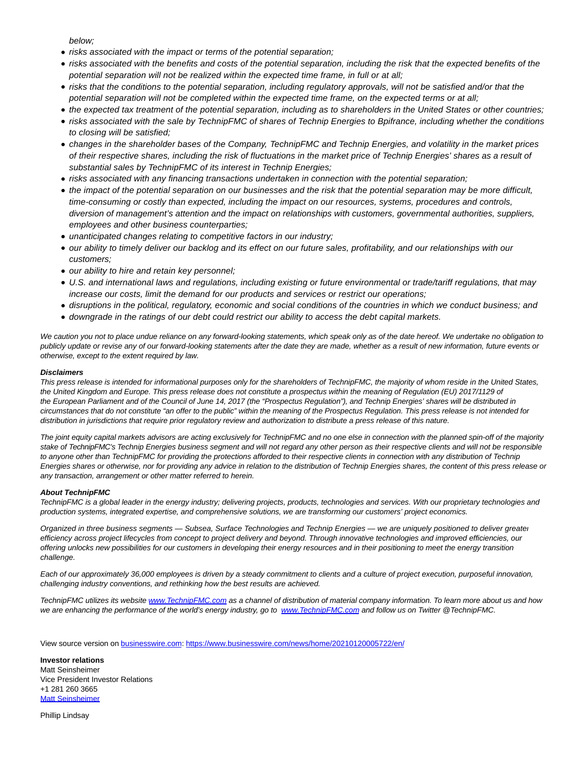below;

- risks associated with the impact or terms of the potential separation;
- risks associated with the benefits and costs of the potential separation, including the risk that the expected benefits of the potential separation will not be realized within the expected time frame, in full or at all;
- risks that the conditions to the potential separation, including regulatory approvals, will not be satisfied and/or that the potential separation will not be completed within the expected time frame, on the expected terms or at all;
- the expected tax treatment of the potential separation, including as to shareholders in the United States or other countries;
- risks associated with the sale by TechnipFMC of shares of Technip Energies to Bpifrance, including whether the conditions to closing will be satisfied;
- changes in the shareholder bases of the Company, TechnipFMC and Technip Energies, and volatility in the market prices of their respective shares, including the risk of fluctuations in the market price of Technip Energies' shares as a result of substantial sales by TechnipFMC of its interest in Technip Energies;
- risks associated with any financing transactions undertaken in connection with the potential separation;
- the impact of the potential separation on our businesses and the risk that the potential separation may be more difficult, time-consuming or costly than expected, including the impact on our resources, systems, procedures and controls, diversion of management's attention and the impact on relationships with customers, governmental authorities, suppliers, employees and other business counterparties;
- unanticipated changes relating to competitive factors in our industry;
- our ability to timely deliver our backlog and its effect on our future sales, profitability, and our relationships with our customers;
- our ability to hire and retain key personnel;
- U.S. and international laws and regulations, including existing or future environmental or trade/tariff regulations, that may increase our costs, limit the demand for our products and services or restrict our operations;
- disruptions in the political, regulatory, economic and social conditions of the countries in which we conduct business; and
- downgrade in the ratings of our debt could restrict our ability to access the debt capital markets.

We caution you not to place undue reliance on any forward-looking statements, which speak only as of the date hereof. We undertake no obligation to publicly update or revise any of our forward-looking statements after the date they are made, whether as a result of new information, future events or otherwise, except to the extent required by law.

## **Disclaimers**

This press release is intended for informational purposes only for the shareholders of TechnipFMC, the majority of whom reside in the United States, the United Kingdom and Europe. This press release does not constitute a prospectus within the meaning of Regulation (EU) 2017/1129 of the European Parliament and of the Council of June 14, 2017 (the "Prospectus Regulation"), and Technip Energies' shares will be distributed in circumstances that do not constitute "an offer to the public" within the meaning of the Prospectus Regulation. This press release is not intended for distribution in jurisdictions that require prior regulatory review and authorization to distribute a press release of this nature.

The joint equity capital markets advisors are acting exclusively for TechnipFMC and no one else in connection with the planned spin-off of the majority stake of TechnipFMC's Technip Energies business segment and will not regard any other person as their respective clients and will not be responsible to anyone other than TechnipFMC for providing the protections afforded to their respective clients in connection with any distribution of Technip Energies shares or otherwise, nor for providing any advice in relation to the distribution of Technip Energies shares, the content of this press release or any transaction, arrangement or other matter referred to herein.

## **About TechnipFMC**

TechnipFMC is a global leader in the energy industry; delivering projects, products, technologies and services. With our proprietary technologies and production systems, integrated expertise, and comprehensive solutions, we are transforming our customers' project economics.

Organized in three business segments — Subsea, Surface Technologies and Technip Energies — we are uniquely positioned to deliver greater efficiency across project lifecycles from concept to project delivery and beyond. Through innovative technologies and improved efficiencies, our offering unlocks new possibilities for our customers in developing their energy resources and in their positioning to meet the energy transition challenge.

Each of our approximately 36,000 employees is driven by a steady commitment to clients and a culture of project execution, purposeful innovation, challenging industry conventions, and rethinking how the best results are achieved.

TechnipFMC utilizes its website [www.TechnipFMC.com a](https://cts.businesswire.com/ct/CT?id=smartlink&url=http%3A%2F%2Fwww.technipfmc.com%2F&esheet=52364976&newsitemid=20210120005722&lan=en-US&anchor=www.TechnipFMC.com&index=3&md5=ed57240f9b0dc7f51c9bde04a2daa2be)s a channel of distribution of material company information. To learn more about us and how we are enhancing the performance of the world's energy industry, go to [www.TechnipFMC.com a](https://cts.businesswire.com/ct/CT?id=smartlink&url=http%3A%2F%2Fwww.technipfmc.com%2F&esheet=52364976&newsitemid=20210120005722&lan=en-US&anchor=www.TechnipFMC.com&index=4&md5=a4e3d00656f4e4a673d9a0ff47df4213)nd follow us on Twitter @TechnipFMC.

View source version on [businesswire.com:](http://businesswire.com/)<https://www.businesswire.com/news/home/20210120005722/en/>

**Investor relations** Matt Seinsheimer Vice President Investor Relations +1 281 260 3665 [Matt Seinsheimer](mailto:InvestorRelations@TechnipFMC.com)

Phillip Lindsay